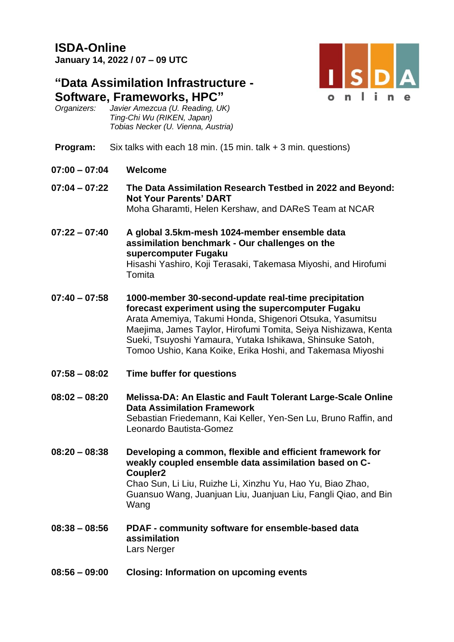## **ISDA-Online January 14, 2022 / 07 – 09 UTC**

# **"Data Assimilation Infrastructure - Software, Frameworks, HPC"**

*Organizers: Javier Amezcua (U. Reading, UK) Ting-Chi Wu (RIKEN, Japan) Tobias Necker (U. Vienna, Austria)*

- **Program:** Six talks with each 18 min. (15 min. talk + 3 min. questions)
- **07:00 – 07:04 Welcome**
- **07:04 – 07:22 The Data Assimilation Research Testbed in 2022 and Beyond: Not Your Parents' DART**  Moha Gharamti, Helen Kershaw, and DAReS Team at NCAR
- **07:22 – 07:40 A global 3.5km-mesh 1024-member ensemble data assimilation benchmark - Our challenges on the supercomputer Fugaku**  Hisashi Yashiro, Koji Terasaki, Takemasa Miyoshi, and Hirofumi **Tomita**
- **07:40 – 07:58 1000-member 30-second-update real-time precipitation forecast experiment using the supercomputer Fugaku** Arata Amemiya, Takumi Honda, Shigenori Otsuka, Yasumitsu Maejima, James Taylor, Hirofumi Tomita, Seiya Nishizawa, Kenta Sueki, Tsuyoshi Yamaura, Yutaka Ishikawa, Shinsuke Satoh, Tomoo Ushio, Kana Koike, Erika Hoshi, and Takemasa Miyoshi
- **07:58 – 08:02 Time buffer for questions**
- **08:02 – 08:20 Melissa-DA: An Elastic and Fault Tolerant Large-Scale Online Data Assimilation Framework**  Sebastian Friedemann, Kai Keller, Yen-Sen Lu, Bruno Raffin, and Leonardo Bautista-Gomez
- **08:20 – 08:38 Developing a common, flexible and efficient framework for weakly coupled ensemble data assimilation based on C-Coupler2** Chao Sun, Li Liu, Ruizhe Li, Xinzhu Yu, Hao Yu, Biao Zhao, Guansuo Wang, Juanjuan Liu, Juanjuan Liu, Fangli Qiao, and Bin Wang
- **08:38 – 08:56 PDAF - community software for ensemble-based data assimilation**  Lars Nerger
- **08:56 – 09:00 Closing: Information on upcoming events**

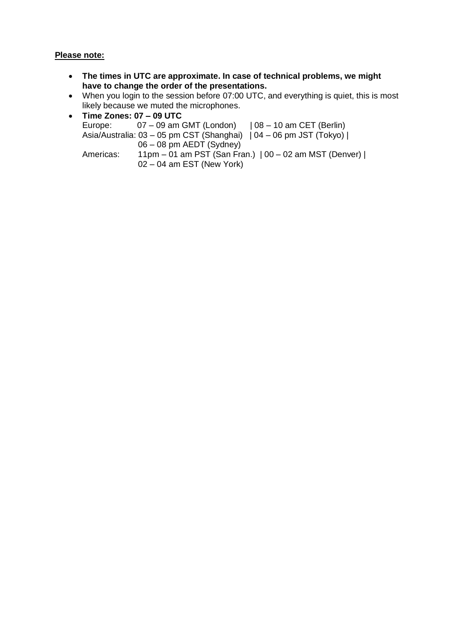### **Please note:**

- **The times in UTC are approximate. In case of technical problems, we might have to change the order of the presentations.**
- When you login to the session before 07:00 UTC, and everything is quiet, this is most likely because we muted the microphones.
- **Time Zones: 07 – 09 UTC**  $07 - 09$  am GMT (London) |  $08 - 10$  am CET (Berlin) Asia/Australia: 03 – 05 pm CST (Shanghai) | 04 – 06 pm JST (Tokyo) | 06 – 08 pm AEDT (Sydney) Americas: 11pm – 01 am PST (San Fran.) | 00 – 02 am MST (Denver) |  $02 - 04$  am EST (New York)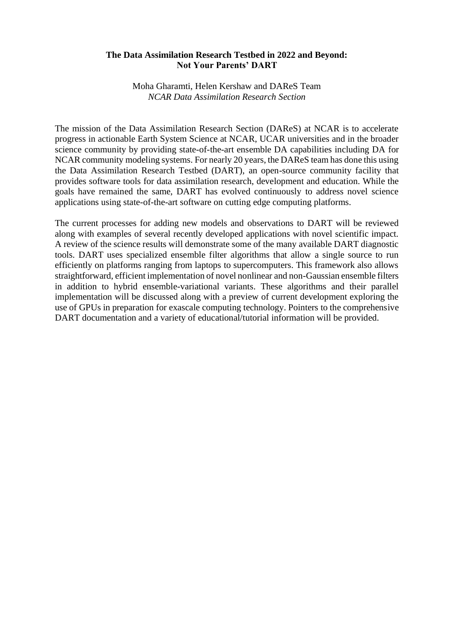#### **The Data Assimilation Research Testbed in 2022 and Beyond: Not Your Parents' DART**

Moha Gharamti, Helen Kershaw and DAReS Team *NCAR Data Assimilation Research Section*

The mission of the Data Assimilation Research Section (DAReS) at NCAR is to accelerate progress in actionable Earth System Science at NCAR, UCAR universities and in the broader science community by providing state-of-the-art ensemble DA capabilities including DA for NCAR community modeling systems. For nearly 20 years, the DAReS team has done this using the Data Assimilation Research Testbed (DART), an open-source community facility that provides software tools for data assimilation research, development and education. While the goals have remained the same, DART has evolved continuously to address novel science applications using state-of-the-art software on cutting edge computing platforms.

The current processes for adding new models and observations to DART will be reviewed along with examples of several recently developed applications with novel scientific impact. A review of the science results will demonstrate some of the many available DART diagnostic tools. DART uses specialized ensemble filter algorithms that allow a single source to run efficiently on platforms ranging from laptops to supercomputers. This framework also allows straightforward, efficient implementation of novel nonlinear and non-Gaussian ensemble filters in addition to hybrid ensemble-variational variants. These algorithms and their parallel implementation will be discussed along with a preview of current development exploring the use of GPUs in preparation for exascale computing technology. Pointers to the comprehensive DART documentation and a variety of educational/tutorial information will be provided.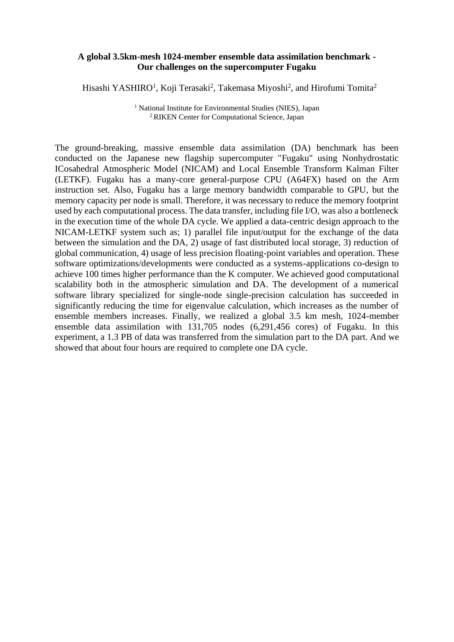#### **A global 3.5km-mesh 1024-member ensemble data assimilation benchmark - Our challenges on the supercomputer Fugaku**

Hisashi YASHIRO<sup>1</sup>, Koji Terasaki<sup>2</sup>, Takemasa Miyoshi<sup>2</sup>, and Hirofumi Tomita<sup>2</sup>

<sup>1</sup> National Institute for Environmental Studies (NIES), Japan <sup>2</sup> RIKEN Center for Computational Science, Japan

The ground-breaking, massive ensemble data assimilation (DA) benchmark has been conducted on the Japanese new flagship supercomputer "Fugaku" using Nonhydrostatic ICosahedral Atmospheric Model (NICAM) and Local Ensemble Transform Kalman Filter (LETKF). Fugaku has a many-core general-purpose CPU (A64FX) based on the Arm instruction set. Also, Fugaku has a large memory bandwidth comparable to GPU, but the memory capacity per node is small. Therefore, it was necessary to reduce the memory footprint used by each computational process. The data transfer, including file I/O, was also a bottleneck in the execution time of the whole DA cycle. We applied a data-centric design approach to the NICAM-LETKF system such as; 1) parallel file input/output for the exchange of the data between the simulation and the DA, 2) usage of fast distributed local storage, 3) reduction of global communication, 4) usage of less precision floating-point variables and operation. These software optimizations/developments were conducted as a systems-applications co-design to achieve 100 times higher performance than the K computer. We achieved good computational scalability both in the atmospheric simulation and DA. The development of a numerical software library specialized for single-node single-precision calculation has succeeded in significantly reducing the time for eigenvalue calculation, which increases as the number of ensemble members increases. Finally, we realized a global 3.5 km mesh, 1024-member ensemble data assimilation with 131,705 nodes (6,291,456 cores) of Fugaku. In this experiment, a 1.3 PB of data was transferred from the simulation part to the DA part. And we showed that about four hours are required to complete one DA cycle.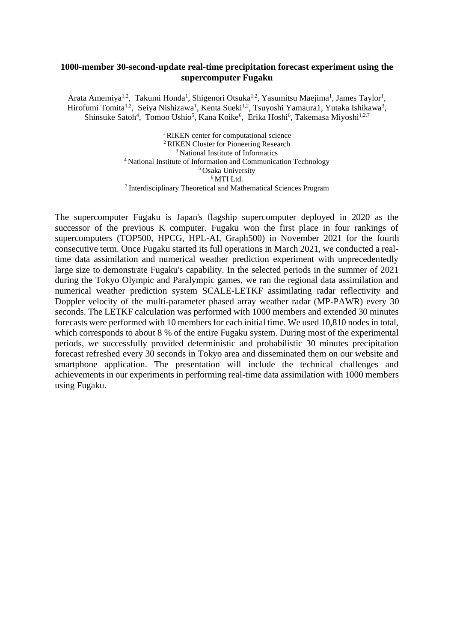#### **1000-member 30-second-update real-time precipitation forecast experiment using the supercomputer Fugaku**

Arata Amemiya<sup>1,2</sup>, Takumi Honda<sup>1</sup>, Shigenori Otsuka<sup>1,2</sup>, Yasumitsu Maejima<sup>1</sup>, James Taylor<sup>1</sup>, Hirofumi Tomita<sup>1,2</sup>, Seiya Nishizawa<sup>1</sup>, Kenta Sueki<sup>1,2</sup>, Tsuyoshi Yamaura1, Yutaka Ishikawa<sup>3</sup>, Shinsuke Satoh<sup>4</sup>, Tomoo Ushio<sup>5</sup>, Kana Koike<sup>6</sup>, Erika Hoshi<sup>6</sup>, Takemasa Miyoshi<sup>1,2,7</sup>

> <sup>1</sup> RIKEN center for computational science <sup>2</sup>RIKEN Cluster for Pioneering Research <sup>3</sup> National Institute of Informatics <sup>4</sup>National Institute of Information and Communication Technology <sup>5</sup> Osaka University  $^6$  MTI Ltd. <sup>7</sup>Interdisciplinary Theoretical and Mathematical Sciences Program

The supercomputer Fugaku is Japan's flagship supercomputer deployed in 2020 as the successor of the previous K computer. Fugaku won the first place in four rankings of supercomputers (TOP500, HPCG, HPL-AI, Graph500) in November 2021 for the fourth consecutive term. Once Fugaku started its full operations in March 2021, we conducted a realtime data assimilation and numerical weather prediction experiment with unprecedentedly large size to demonstrate Fugaku's capability. In the selected periods in the summer of 2021 during the Tokyo Olympic and Paralympic games, we ran the regional data assimilation and numerical weather prediction system SCALE-LETKF assimilating radar reflectivity and Doppler velocity of the multi-parameter phased array weather radar (MP-PAWR) every 30 seconds. The LETKF calculation was performed with 1000 members and extended 30 minutes forecasts were performed with 10 members for each initial time. We used 10,810 nodes in total, which corresponds to about 8 % of the entire Fugaku system. During most of the experimental periods, we successfully provided deterministic and probabilistic 30 minutes precipitation forecast refreshed every 30 seconds in Tokyo area and disseminated them on our website and smartphone application. The presentation will include the technical challenges and achievements in our experiments in performing real-time data assimilation with 1000 members using Fugaku.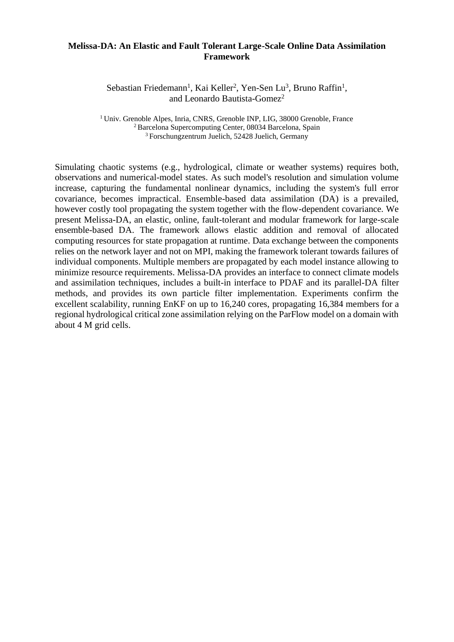#### **Melissa-DA: An Elastic and Fault Tolerant Large-Scale Online Data Assimilation Framework**

Sebastian Friedemann<sup>1</sup>, Kai Keller<sup>2</sup>, Yen-Sen Lu<sup>3</sup>, Bruno Raffin<sup>1</sup>, and Leonardo Bautista-Gomez<sup>2</sup>

<sup>1</sup> Univ. Grenoble Alpes, Inria, CNRS, Grenoble INP, LIG, 38000 Grenoble, France <sup>2</sup>Barcelona Supercomputing Center, 08034 Barcelona, Spain <sup>3</sup>Forschungzentrum Juelich, 52428 Juelich, Germany

Simulating chaotic systems (e.g., hydrological, climate or weather systems) requires both, observations and numerical-model states. As such model's resolution and simulation volume increase, capturing the fundamental nonlinear dynamics, including the system's full error covariance, becomes impractical. Ensemble-based data assimilation (DA) is a prevailed, however costly tool propagating the system together with the flow-dependent covariance. We present Melissa-DA, an elastic, online, fault-tolerant and modular framework for large-scale ensemble-based DA. The framework allows elastic addition and removal of allocated computing resources for state propagation at runtime. Data exchange between the components relies on the network layer and not on MPI, making the framework tolerant towards failures of individual components. Multiple members are propagated by each model instance allowing to minimize resource requirements. Melissa-DA provides an interface to connect climate models and assimilation techniques, includes a built-in interface to PDAF and its parallel-DA filter methods, and provides its own particle filter implementation. Experiments confirm the excellent scalability, running EnKF on up to 16,240 cores, propagating 16,384 members for a regional hydrological critical zone assimilation relying on the ParFlow model on a domain with about 4 M grid cells.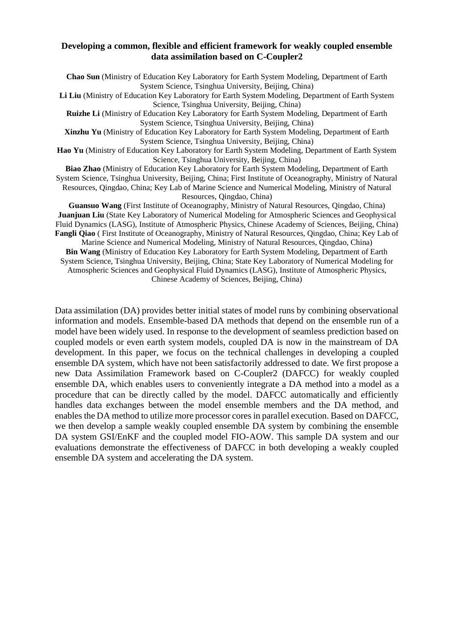#### **Developing a common, flexible and efficient framework for weakly coupled ensemble data assimilation based on C-Coupler2**

**Chao Sun** (Ministry of Education Key Laboratory for Earth System Modeling, Department of Earth System Science, Tsinghua University, Beijing, China) **Li Liu** (Ministry of Education Key Laboratory for Earth System Modeling, Department of Earth System Science, Tsinghua University, Beijing, China) **Ruizhe Li** (Ministry of Education Key Laboratory for Earth System Modeling, Department of Earth System Science, Tsinghua University, Beijing, China) **Xinzhu Yu** (Ministry of Education Key Laboratory for Earth System Modeling, Department of Earth System Science, Tsinghua University, Beijing, China) **Hao Yu** (Ministry of Education Key Laboratory for Earth System Modeling, Department of Earth System Science, Tsinghua University, Beijing, China) **Biao Zhao** (Ministry of Education Key Laboratory for Earth System Modeling, Department of Earth System Science, Tsinghua University, Beijing, China; First Institute of Oceanography, Ministry of Natural Resources, Qingdao, China; Key Lab of Marine Science and Numerical Modeling, Ministry of Natural Resources, Qingdao, China) **Guansuo Wang** (First Institute of Oceanography, Ministry of Natural Resources, Qingdao, China) **Juanjuan Liu** (State Key Laboratory of Numerical Modeling for Atmospheric Sciences and Geophysical Fluid Dynamics (LASG), Institute of Atmospheric Physics, Chinese Academy of Sciences, Beijing, China) **Fangli Qiao** ( First Institute of Oceanography, Ministry of Natural Resources, Qingdao, China; Key Lab of Marine Science and Numerical Modeling, Ministry of Natural Resources, Qingdao, China) **Bin Wang** (Ministry of Education Key Laboratory for Earth System Modeling, Department of Earth System Science, Tsinghua University, Beijing, China; State Key Laboratory of Numerical Modeling for Atmospheric Sciences and Geophysical Fluid Dynamics (LASG), Institute of Atmospheric Physics,

Chinese Academy of Sciences, Beijing, China)

Data assimilation (DA) provides better initial states of model runs by combining observational information and models. Ensemble-based DA methods that depend on the ensemble run of a model have been widely used. In response to the development of seamless prediction based on coupled models or even earth system models, coupled DA is now in the mainstream of DA development. In this paper, we focus on the technical challenges in developing a coupled ensemble DA system, which have not been satisfactorily addressed to date. We first propose a new Data Assimilation Framework based on C-Coupler2 (DAFCC) for weakly coupled ensemble DA, which enables users to conveniently integrate a DA method into a model as a procedure that can be directly called by the model. DAFCC automatically and efficiently handles data exchanges between the model ensemble members and the DA method, and enables the DA method to utilize more processor cores in parallel execution. Based on DAFCC, we then develop a sample weakly coupled ensemble DA system by combining the ensemble DA system GSI/EnKF and the coupled model FIO-AOW. This sample DA system and our evaluations demonstrate the effectiveness of DAFCC in both developing a weakly coupled ensemble DA system and accelerating the DA system.